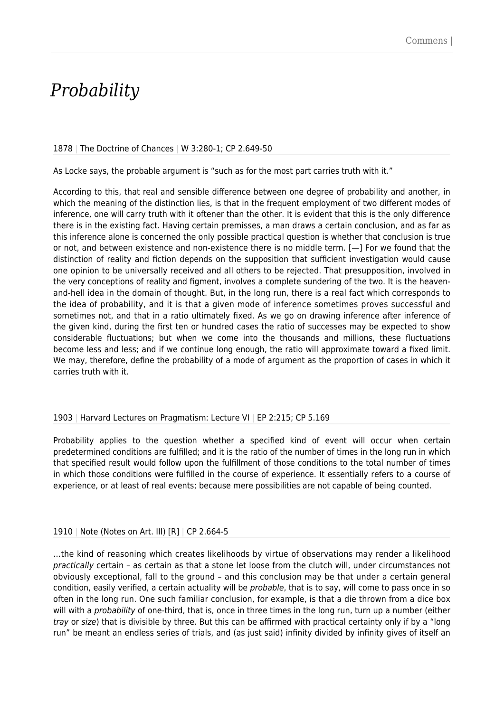# *Probability*

#### 1878 | The Doctrine of Chances | W 3:280-1; CP 2.649-50

As Locke says, the probable argument is "such as for the most part carries truth with it."

According to this, that real and sensible difference between one degree of probability and another, in which the meaning of the distinction lies, is that in the frequent employment of two different modes of inference, one will carry truth with it oftener than the other. It is evident that this is the only difference there is in the existing fact. Having certain premisses, a man draws a certain conclusion, and as far as this inference alone is concerned the only possible practical question is whether that conclusion is true or not, and between existence and non-existence there is no middle term. [—] For we found that the distinction of reality and fiction depends on the supposition that sufficient investigation would cause one opinion to be universally received and all others to be rejected. That presupposition, involved in the very conceptions of reality and figment, involves a complete sundering of the two. It is the heavenand-hell idea in the domain of thought. But, in the long run, there is a real fact which corresponds to the idea of probability, and it is that a given mode of inference sometimes proves successful and sometimes not, and that in a ratio ultimately fixed. As we go on drawing inference after inference of the given kind, during the first ten or hundred cases the ratio of successes may be expected to show considerable fluctuations; but when we come into the thousands and millions, these fluctuations become less and less; and if we continue long enough, the ratio will approximate toward a fixed limit. We may, therefore, define the probability of a mode of argument as the proportion of cases in which it carries truth with it.

### 1903 | Harvard Lectures on Pragmatism: Lecture VI | EP 2:215; CP 5.169

Probability applies to the question whether a specified kind of event will occur when certain predetermined conditions are fulfilled; and it is the ratio of the number of times in the long run in which that specified result would follow upon the fulfillment of those conditions to the total number of times in which those conditions were fulfilled in the course of experience. It essentially refers to a course of experience, or at least of real events; because mere possibilities are not capable of being counted.

### 1910 | Note (Notes on Art. III) [R] | CP 2.664-5

…the kind of reasoning which creates likelihoods by virtue of observations may render a likelihood practically certain – as certain as that a stone let loose from the clutch will, under circumstances not obviously exceptional, fall to the ground – and this conclusion may be that under a certain general condition, easily verified, a certain actuality will be *probable*, that is to say, will come to pass once in so often in the long run. One such familiar conclusion, for example, is that a die thrown from a dice box will with a probability of one-third, that is, once in three times in the long run, turn up a number (either tray or size) that is divisible by three. But this can be affirmed with practical certainty only if by a "long run" be meant an endless series of trials, and (as just said) infinity divided by infinity gives of itself an